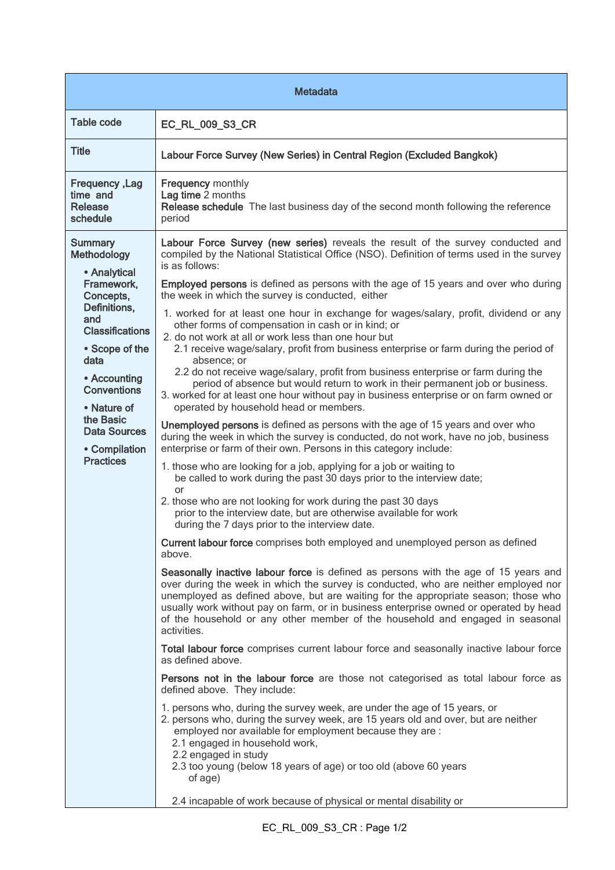| <b>Metadata</b>                                                                                                                                                                                                                                                                          |                                                                                                                                                                                                                                                                                                                                                                                                                                                                                                                                                                                                                                                                                                                                                                                                                                                                                                                                                                                                                                                                                                                                                                                                                                                                                                                                                                                                                                                                                                                                                                                                                                                                                                                                                                                                                                                                                                                                                                                                                                                                                                                                                                                                                                                                                                                                                                                                                                                                                                                                                                                                                                                                                                                                                                                                                        |  |
|------------------------------------------------------------------------------------------------------------------------------------------------------------------------------------------------------------------------------------------------------------------------------------------|------------------------------------------------------------------------------------------------------------------------------------------------------------------------------------------------------------------------------------------------------------------------------------------------------------------------------------------------------------------------------------------------------------------------------------------------------------------------------------------------------------------------------------------------------------------------------------------------------------------------------------------------------------------------------------------------------------------------------------------------------------------------------------------------------------------------------------------------------------------------------------------------------------------------------------------------------------------------------------------------------------------------------------------------------------------------------------------------------------------------------------------------------------------------------------------------------------------------------------------------------------------------------------------------------------------------------------------------------------------------------------------------------------------------------------------------------------------------------------------------------------------------------------------------------------------------------------------------------------------------------------------------------------------------------------------------------------------------------------------------------------------------------------------------------------------------------------------------------------------------------------------------------------------------------------------------------------------------------------------------------------------------------------------------------------------------------------------------------------------------------------------------------------------------------------------------------------------------------------------------------------------------------------------------------------------------------------------------------------------------------------------------------------------------------------------------------------------------------------------------------------------------------------------------------------------------------------------------------------------------------------------------------------------------------------------------------------------------------------------------------------------------------------------------------------------------|--|
| Table code                                                                                                                                                                                                                                                                               | EC_RL_009_S3_CR                                                                                                                                                                                                                                                                                                                                                                                                                                                                                                                                                                                                                                                                                                                                                                                                                                                                                                                                                                                                                                                                                                                                                                                                                                                                                                                                                                                                                                                                                                                                                                                                                                                                                                                                                                                                                                                                                                                                                                                                                                                                                                                                                                                                                                                                                                                                                                                                                                                                                                                                                                                                                                                                                                                                                                                                        |  |
| <b>Title</b>                                                                                                                                                                                                                                                                             | Labour Force Survey (New Series) in Central Region (Excluded Bangkok)                                                                                                                                                                                                                                                                                                                                                                                                                                                                                                                                                                                                                                                                                                                                                                                                                                                                                                                                                                                                                                                                                                                                                                                                                                                                                                                                                                                                                                                                                                                                                                                                                                                                                                                                                                                                                                                                                                                                                                                                                                                                                                                                                                                                                                                                                                                                                                                                                                                                                                                                                                                                                                                                                                                                                  |  |
| <b>Frequency, Lag</b><br>time and<br><b>Release</b><br>schedule                                                                                                                                                                                                                          | <b>Frequency monthly</b><br>Lag time 2 months<br>Release schedule The last business day of the second month following the reference<br>period                                                                                                                                                                                                                                                                                                                                                                                                                                                                                                                                                                                                                                                                                                                                                                                                                                                                                                                                                                                                                                                                                                                                                                                                                                                                                                                                                                                                                                                                                                                                                                                                                                                                                                                                                                                                                                                                                                                                                                                                                                                                                                                                                                                                                                                                                                                                                                                                                                                                                                                                                                                                                                                                          |  |
| <b>Summary</b><br><b>Methodology</b><br>• Analytical<br>Framework.<br>Concepts,<br>Definitions,<br>and<br><b>Classifications</b><br>• Scope of the<br>data<br>• Accounting<br><b>Conventions</b><br>• Nature of<br>the Basic<br><b>Data Sources</b><br>• Compilation<br><b>Practices</b> | Labour Force Survey (new series) reveals the result of the survey conducted and<br>compiled by the National Statistical Office (NSO). Definition of terms used in the survey<br>is as follows:<br><b>Employed persons</b> is defined as persons with the age of 15 years and over who during<br>the week in which the survey is conducted, either<br>1. worked for at least one hour in exchange for wages/salary, profit, dividend or any<br>other forms of compensation in cash or in kind; or<br>2. do not work at all or work less than one hour but<br>2.1 receive wage/salary, profit from business enterprise or farm during the period of<br>absence; or<br>2.2 do not receive wage/salary, profit from business enterprise or farm during the<br>period of absence but would return to work in their permanent job or business.<br>3. worked for at least one hour without pay in business enterprise or on farm owned or<br>operated by household head or members.<br>Unemployed persons is defined as persons with the age of 15 years and over who<br>during the week in which the survey is conducted, do not work, have no job, business<br>enterprise or farm of their own. Persons in this category include:<br>1. those who are looking for a job, applying for a job or waiting to<br>be called to work during the past 30 days prior to the interview date;<br>or<br>2. those who are not looking for work during the past 30 days<br>prior to the interview date, but are otherwise available for work<br>during the 7 days prior to the interview date.<br>Current labour force comprises both employed and unemployed person as defined<br>above.<br>Seasonally inactive labour force is defined as persons with the age of 15 years and<br>over during the week in which the survey is conducted, who are neither employed nor<br>unemployed as defined above, but are waiting for the appropriate season; those who<br>usually work without pay on farm, or in business enterprise owned or operated by head<br>of the household or any other member of the household and engaged in seasonal<br>activities.<br>Total labour force comprises current labour force and seasonally inactive labour force<br>as defined above.<br>Persons not in the labour force are those not categorised as total labour force as<br>defined above. They include:<br>1. persons who, during the survey week, are under the age of 15 years, or<br>2. persons who, during the survey week, are 15 years old and over, but are neither<br>employed nor available for employment because they are :<br>2.1 engaged in household work,<br>2.2 engaged in study<br>2.3 too young (below 18 years of age) or too old (above 60 years<br>of age)<br>2.4 incapable of work because of physical or mental disability or |  |